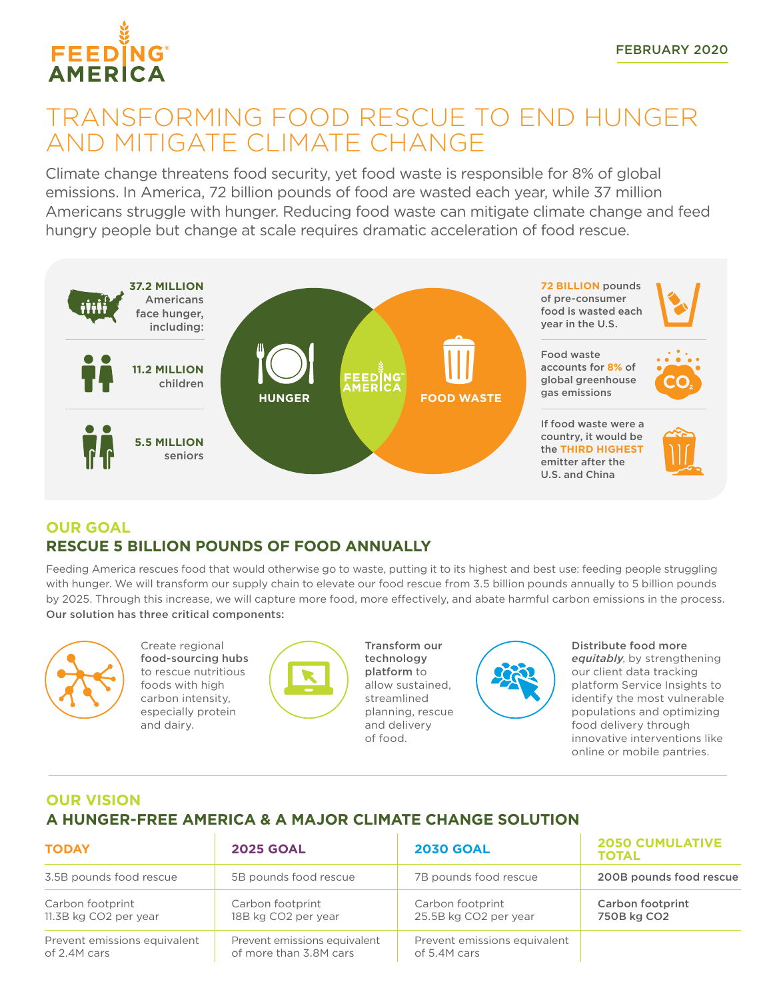

# TRANSFORMING FOOD RESCUE TO END HUNGER AND MITIGATE CLIMATE CHANGE

Climate change threatens food security, yet food waste is responsible for 8% of global emissions. In America, 72 billion pounds of food are wasted each year, while 37 million Americans struggle with hunger. Reducing food waste can mitigate climate change and feed hungry people but change at scale requires dramatic acceleration of food rescue.



## **OUR GOAL RESCUE 5 BILLION POUNDS OF FOOD ANNUALLY**

Feeding America rescues food that would otherwise go to waste, putting it to its highest and best use: feeding people struggling with hunger. We will transform our supply chain to elevate our food rescue from 3.5 billion pounds annually to 5 billion pounds by 2025. Through this increase, we will capture more food, more effectively, and abate harmful carbon emissions in the process. Our solution has three critical components:



Create regional food-sourcing hubs to rescue nutritious foods with high carbon intensity, especially protein and dairy.



Transform our technology platform to allow sustained, streamlined planning, rescue and delivery of food.



Distribute food more *equitably*, by strengthening our client data tracking platform Service Insights to identify the most vulnerable populations and optimizing food delivery through innovative interventions like online or mobile pantries.

## **OUR VISION A HUNGER-FREE AMERICA & A MAJOR CLIMATE CHANGE SOLUTION**

| <b>TODAY</b>                 | <b>2025 GOAL</b>             | <b>2030 GOAL</b>             | <b>2050 CUMULATIVE</b><br><b>TOTAL</b> |
|------------------------------|------------------------------|------------------------------|----------------------------------------|
| 3.5B pounds food rescue      | 5B pounds food rescue        | 7B pounds food rescue        | 200B pounds food rescue                |
| Carbon footprint             | Carbon footprint             | Carbon footprint             | <b>Carbon footprint</b>                |
| 11.3B kg CO2 per year        | 18B kg CO2 per year          | 25.5B kg CO2 per year        | 750B kg CO2                            |
| Prevent emissions equivalent | Prevent emissions equivalent | Prevent emissions equivalent |                                        |
| of 2.4M cars                 | of more than 3.8M cars       | of 5.4M cars                 |                                        |